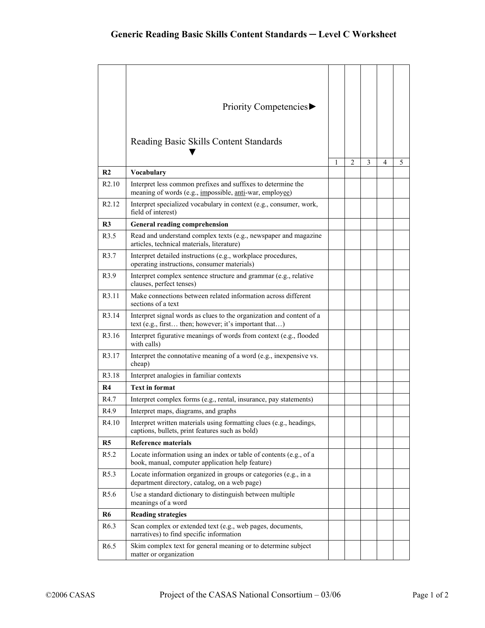|                   | Priority Competencies▶                                                                                                                          |   |   |   |   |   |
|-------------------|-------------------------------------------------------------------------------------------------------------------------------------------------|---|---|---|---|---|
|                   |                                                                                                                                                 |   |   |   |   |   |
|                   | Reading Basic Skills Content Standards                                                                                                          |   |   |   |   |   |
|                   |                                                                                                                                                 | 1 | 2 | 3 | 4 | 5 |
| R <sub>2</sub>    | <b>Vocabulary</b>                                                                                                                               |   |   |   |   |   |
| R <sub>2.10</sub> | Interpret less common prefixes and suffixes to determine the<br>meaning of words (e.g., <i>impossible</i> , <i>anti</i> -war, <i>employee</i> ) |   |   |   |   |   |
| R <sub>2.12</sub> | Interpret specialized vocabulary in context (e.g., consumer, work,<br>field of interest)                                                        |   |   |   |   |   |
| R3                | <b>General reading comprehension</b>                                                                                                            |   |   |   |   |   |
| R <sub>3.5</sub>  | Read and understand complex texts (e.g., newspaper and magazine<br>articles, technical materials, literature)                                   |   |   |   |   |   |
| R <sub>3.7</sub>  | Interpret detailed instructions (e.g., workplace procedures,<br>operating instructions, consumer materials)                                     |   |   |   |   |   |
| R <sub>3.9</sub>  | Interpret complex sentence structure and grammar (e.g., relative<br>clauses, perfect tenses)                                                    |   |   |   |   |   |
| R <sub>3.11</sub> | Make connections between related information across different<br>sections of a text                                                             |   |   |   |   |   |
| R <sub>3.14</sub> | Interpret signal words as clues to the organization and content of a<br>text (e.g., first then; however; it's important that)                   |   |   |   |   |   |
| R <sub>3.16</sub> | Interpret figurative meanings of words from context (e.g., flooded<br>with calls)                                                               |   |   |   |   |   |
| R3.17             | Interpret the connotative meaning of a word (e.g., inexpensive vs.<br>cheap)                                                                    |   |   |   |   |   |
| R <sub>3.18</sub> | Interpret analogies in familiar contexts                                                                                                        |   |   |   |   |   |
| R4                | <b>Text in format</b>                                                                                                                           |   |   |   |   |   |
| R4.7              | Interpret complex forms (e.g., rental, insurance, pay statements)                                                                               |   |   |   |   |   |
| R <sub>4.9</sub>  | Interpret maps, diagrams, and graphs                                                                                                            |   |   |   |   |   |
| R4.10             | Interpret written materials using formatting clues (e.g., headings,<br>captions, bullets, print features such as bold)                          |   |   |   |   |   |
| R <sub>5</sub>    | <b>Reference materials</b>                                                                                                                      |   |   |   |   |   |
| R5.2              | Locate information using an index or table of contents (e.g., of a<br>book, manual, computer application help feature)                          |   |   |   |   |   |
| R5.3              | Locate information organized in groups or categories (e.g., in a<br>department directory, catalog, on a web page)                               |   |   |   |   |   |
| R <sub>5.6</sub>  | Use a standard dictionary to distinguish between multiple<br>meanings of a word                                                                 |   |   |   |   |   |
| <b>R6</b>         | <b>Reading strategies</b>                                                                                                                       |   |   |   |   |   |
| R <sub>6.3</sub>  | Scan complex or extended text (e.g., web pages, documents,<br>narratives) to find specific information                                          |   |   |   |   |   |
| R <sub>6.5</sub>  | Skim complex text for general meaning or to determine subject<br>matter or organization                                                         |   |   |   |   |   |